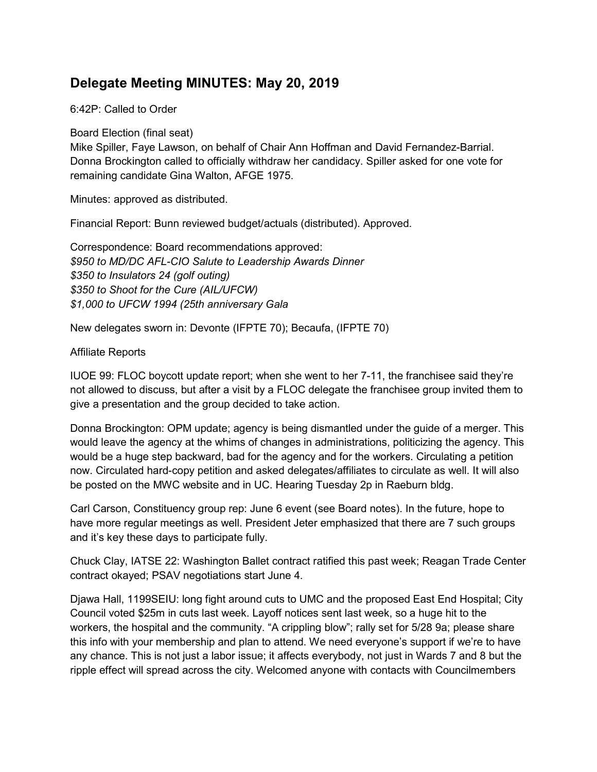# Delegate Meeting MINUTES: May 20, 2019

### 6:42P: Called to Order

Board Election (final seat)

Mike Spiller, Faye Lawson, on behalf of Chair Ann Hoffman and David Fernandez-Barrial. Donna Brockington called to officially withdraw her candidacy. Spiller asked for one vote for remaining candidate Gina Walton, AFGE 1975.

Minutes: approved as distributed.

Financial Report: Bunn reviewed budget/actuals (distributed). Approved.

Correspondence: Board recommendations approved: \$950 to MD/DC AFL-CIO Salute to Leadership Awards Dinner \$350 to Insulators 24 (golf outing) \$350 to Shoot for the Cure (AIL/UFCW) \$1,000 to UFCW 1994 (25th anniversary Gala

New delegates sworn in: Devonte (IFPTE 70); Becaufa, (IFPTE 70)

#### Affiliate Reports

IUOE 99: FLOC boycott update report; when she went to her 7-11, the franchisee said they're not allowed to discuss, but after a visit by a FLOC delegate the franchisee group invited them to give a presentation and the group decided to take action.

Donna Brockington: OPM update; agency is being dismantled under the guide of a merger. This would leave the agency at the whims of changes in administrations, politicizing the agency. This would be a huge step backward, bad for the agency and for the workers. Circulating a petition now. Circulated hard-copy petition and asked delegates/affiliates to circulate as well. It will also be posted on the MWC website and in UC. Hearing Tuesday 2p in Raeburn bldg.

Carl Carson, Constituency group rep: June 6 event (see Board notes). In the future, hope to have more regular meetings as well. President Jeter emphasized that there are 7 such groups and it's key these days to participate fully.

Chuck Clay, IATSE 22: Washington Ballet contract ratified this past week; Reagan Trade Center contract okayed; PSAV negotiations start June 4.

Djawa Hall, 1199SEIU: long fight around cuts to UMC and the proposed East End Hospital; City Council voted \$25m in cuts last week. Layoff notices sent last week, so a huge hit to the workers, the hospital and the community. "A crippling blow"; rally set for 5/28 9a; please share this info with your membership and plan to attend. We need everyone's support if we're to have any chance. This is not just a labor issue; it affects everybody, not just in Wards 7 and 8 but the ripple effect will spread across the city. Welcomed anyone with contacts with Councilmembers